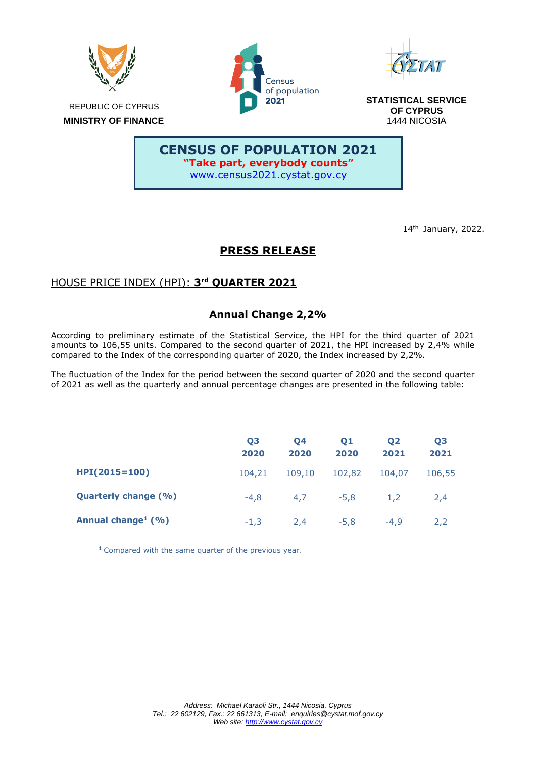

14th January, 2022.

# **PRESS RELEASE**

# HOUSE PRICE INDEX (HPI): **3 rd QUARTER 2021**

# **Annual Change 2,2%**

According to preliminary estimate of the Statistical Service, the HPI for the third quarter of 2021 amounts to 106,55 units. Compared to the second quarter of 2021, the HPI increased by 2,4% while compared to the Index of the corresponding quarter of 2020, the Index increased by 2,2%.

The fluctuation of the Index for the period between the second quarter of 2020 and the second quarter of 2021 as well as the quarterly and annual percentage changes are presented in the following table:

|                                  | Q <sub>3</sub><br>2020 | Q4<br>2020 | Q <sub>1</sub><br>2020 | <b>Q2</b><br>2021 | Q <sub>3</sub><br>2021 |
|----------------------------------|------------------------|------------|------------------------|-------------------|------------------------|
| $HPI(2015=100)$                  | 104,21                 | 109,10     | 102,82                 | 104,07            | 106,55                 |
| <b>Quarterly change (%)</b>      | $-4.8$                 | 4.7        | $-5.8$                 | 1.2               | 2.4                    |
| Annual change <sup>1</sup> $(%)$ | $-1.3$                 | 2.4        | $-5.8$                 | $-4.9$            | 2,2                    |

**<sup>1</sup>** Compared with the same quarter of the previous year.